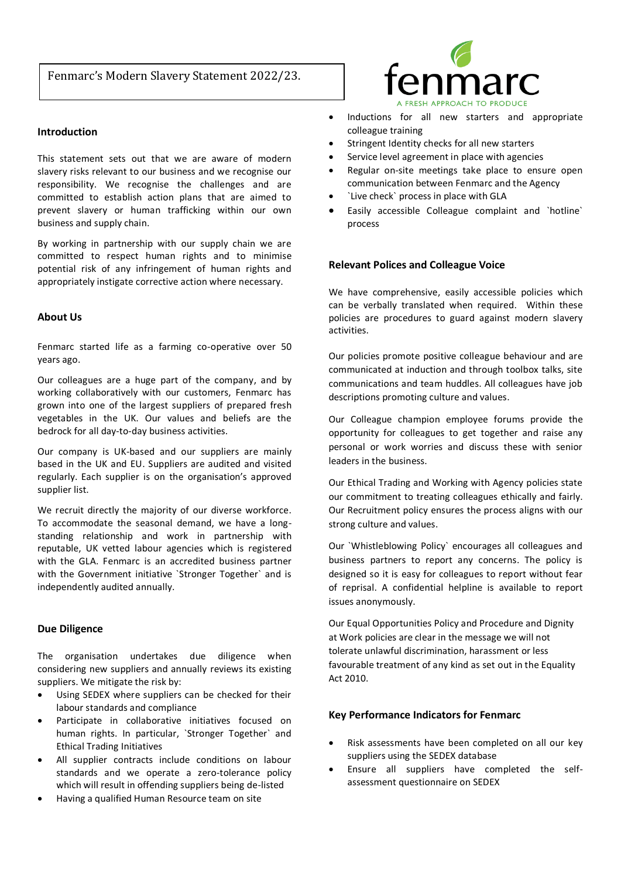# Fenmarc's Modern Slavery Statement 2022/23.

## **Introduction**

This statement sets out that we are aware of modern slavery risks relevant to our business and we recognise our responsibility. We recognise the challenges and are committed to establish action plans that are aimed to prevent slavery or human trafficking within our own business and supply chain.

By working in partnership with our supply chain we are committed to respect human rights and to minimise potential risk of any infringement of human rights and appropriately instigate corrective action where necessary.

#### **About Us**

Fenmarc started life as a farming co-operative over 50 years ago.

Our colleagues are a huge part of the company, and by working collaboratively with our customers, Fenmarc has grown into one of the largest suppliers of prepared fresh vegetables in the UK. Our values and beliefs are the bedrock for all day-to-day business activities.

Our company is UK-based and our suppliers are mainly based in the UK and EU. Suppliers are audited and visited regularly. Each supplier is on the organisation's approved supplier list.

We recruit directly the majority of our diverse workforce. To accommodate the seasonal demand, we have a longstanding relationship and work in partnership with reputable, UK vetted labour agencies which is registered with the GLA. Fenmarc is an accredited business partner with the Government initiative `Stronger Together` and is independently audited annually.

### **Due Diligence**

The organisation undertakes due diligence when considering new suppliers and annually reviews its existing suppliers. We mitigate the risk by:

- Using SEDEX where suppliers can be checked for their labour standards and compliance
- Participate in collaborative initiatives focused on human rights. In particular, `Stronger Together` and Ethical Trading Initiatives
- All supplier contracts include conditions on labour standards and we operate a zero-tolerance policy which will result in offending suppliers being de-listed
- Having a qualified Human Resource team on site



- Inductions for all new starters and appropriate colleague training
- Stringent Identity checks for all new starters
- Service level agreement in place with agencies
- Regular on-site meetings take place to ensure open communication between Fenmarc and the Agency
- `Live check` process in place with GLA
- Easily accessible Colleague complaint and `hotline` process

#### **Relevant Polices and Colleague Voice**

We have comprehensive, easily accessible policies which can be verbally translated when required. Within these policies are procedures to guard against modern slavery activities.

Our policies promote positive colleague behaviour and are communicated at induction and through toolbox talks, site communications and team huddles. All colleagues have job descriptions promoting culture and values.

Our Colleague champion employee forums provide the opportunity for colleagues to get together and raise any personal or work worries and discuss these with senior leaders in the business.

Our Ethical Trading and Working with Agency policies state our commitment to treating colleagues ethically and fairly. Our Recruitment policy ensures the process aligns with our strong culture and values.

Our `Whistleblowing Policy` encourages all colleagues and business partners to report any concerns. The policy is designed so it is easy for colleagues to report without fear of reprisal. A confidential helpline is available to report issues anonymously.

Our Equal Opportunities Policy and Procedure and Dignity at Work policies are clear in the message we will not tolerate unlawful discrimination, harassment or less favourable treatment of any kind as set out in the Equality Act 2010.

#### **Key Performance Indicators for Fenmarc**

- Risk assessments have been completed on all our key suppliers using the SEDEX database
- Ensure all suppliers have completed the selfassessment questionnaire on SEDEX